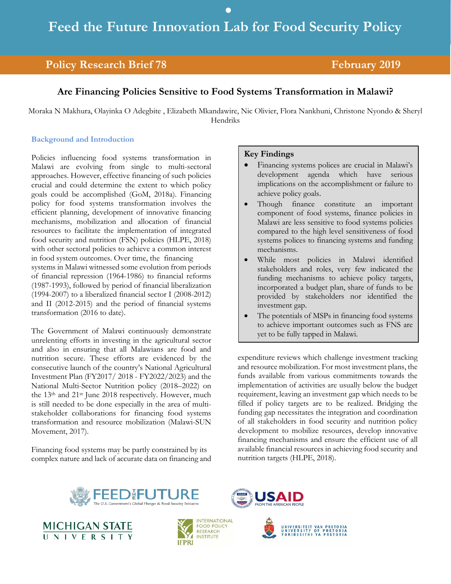•

## **Policy Research Brief 78** February 2019

## **Are Financing Policies Sensitive to Food Systems Transformation in Malawi?**

Moraka N Makhura, Olayinka O Adegbite , Elizabeth Mkandawire, Nic Olivier, Flora Nankhuni, Christone Nyondo & Sheryl Hendriks

#### **Background and Introduction**

Policies influencing food systems transformation in Malawi are evolving from single to multi-sectoral approaches. However, effective financing of such policies crucial and could determine the extent to which policy goals could be accomplished (GoM, 2018a). Financing policy for food systems transformation involves the efficient planning, development of innovative financing mechanisms, mobilization and allocation of financial resources to facilitate the implementation of integrated food security and nutrition (FSN) policies (HLPE, 2018) with other sectoral policies to achieve a common interest in food system outcomes. Over time, the financing systems in Malawi witnessed some evolution from periods of financial repression (1964-1986) to financial reforms (1987-1993), followed by period of financial liberalization (1994-2007) to a liberalized financial sector I (2008-2012) and II (2012-2015) and the period of financial systems transformation (2016 to date).

The Government of Malawi continuously demonstrate unrelenting efforts in investing in the agricultural sector and also in ensuring that all Malawians are food and nutrition secure. These efforts are evidenced by the consecutive launch of the country's National Agricultural Investment Plan (FY2017/ 2018 - FY2022/2023) and the National Multi-Sector Nutrition policy (2018–2022) on the 13th and 21st June 2018 respectively. However, much is still needed to be done especially in the area of multistakeholder collaborations for financing food systems transformation and resource mobilization (Malawi-SUN Movement, 2017).

Financing food systems may be partly constrained by its complex nature and lack of accurate data on financing and

#### **Key Findings**

- Financing systems polices are crucial in Malawi's development agenda which have serious implications on the accomplishment or failure to achieve policy goals.
- Though finance constitute an important component of food systems, finance policies in Malawi are less sensitive to food systems policies compared to the high level sensitiveness of food systems polices to financing systems and funding mechanisms.
- While most policies in Malawi identified stakeholders and roles, very few indicated the funding mechanisms to achieve policy targets, incorporated a budget plan, share of funds to be provided by stakeholders nor identified the investment gap.
- The potentials of MSPs in financing food systems to achieve important outcomes such as FNS are yet to be fully tapped in Malawi.

expenditure reviews which challenge investment tracking and resource mobilization. For most investment plans, the funds available from various commitments towards the implementation of activities are usually below the budget requirement, leaving an investment gap which needs to be filled if policy targets are to be realized. Bridging the funding gap necessitates the integration and coordination of all stakeholders in food security and nutrition policy development to mobilize resources, develop innovative financing mechanisms and ensure the efficient use of all available financial resources in achieving food security and nutrition targets (HLPE, 2018).









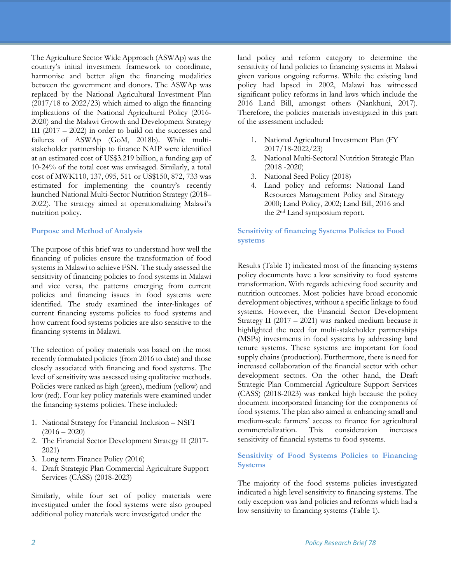The Agriculture Sector Wide Approach (ASWAp) was the country's initial investment framework to coordinate, harmonise and better align the financing modalities between the government and donors. The ASWAp was replaced by the National Agricultural Investment Plan  $(2017/18$  to  $2022/23)$  which aimed to align the financing implications of the National Agricultural Policy (2016- 2020) and the Malawi Growth and Development Strategy III (2017 – 2022) in order to build on the successes and failures of ASWAp (GoM, 2018b). While multistakeholder partnership to finance NAIP were identified at an estimated cost of US\$3.219 billion, a funding gap of 10-24% of the total cost was envisaged. Similarly, a total cost of MWK110, 137, 095, 511 or US\$150, 872, 733 was estimated for implementing the country's recently launched National Multi-Sector Nutrition Strategy (2018– 2022). The strategy aimed at operationalizing Malawi's nutrition policy.

#### **Purpose and Method of Analysis**

The purpose of this brief was to understand how well the financing of policies ensure the transformation of food systems in Malawi to achieve FSN. The study assessed the sensitivity of financing policies to food systems in Malawi and vice versa, the patterns emerging from current policies and financing issues in food systems were identified. The study examined the inter-linkages of current financing systems policies to food systems and how current food systems policies are also sensitive to the financing systems in Malawi.

The selection of policy materials was based on the most recently formulated policies (from 2016 to date) and those closely associated with financing and food systems. The level of sensitivity was assessed using qualitative methods. Policies were ranked as high (green), medium (yellow) and low (red). Four key policy materials were examined under the financing systems policies. These included:

- 1. National Strategy for Financial Inclusion NSFI  $(2016 - 2020)$
- 2. The Financial Sector Development Strategy II (2017- 2021)
- 3. Long term Finance Policy (2016)
- 4. Draft Strategic Plan Commercial Agriculture Support Services (CASS) (2018-2023)

Similarly, while four set of policy materials were investigated under the food systems were also grouped additional policy materials were investigated under the

land policy and reform category to determine the sensitivity of land policies to financing systems in Malawi given various ongoing reforms. While the existing land policy had lapsed in 2002, Malawi has witnessed significant policy reforms in land laws which include the 2016 Land Bill, amongst others (Nankhuni, 2017). Therefore, the policies materials investigated in this part of the assessment included:

- 1. National Agricultural Investment Plan (FY 2017/18-2022/23)
- 2. National Multi-Sectoral Nutrition Strategic Plan (2018 -2020)
- 3. National Seed Policy (2018)
- 4. Land policy and reforms: National Land Resources Management Policy and Strategy 2000; Land Policy, 2002; Land Bill, 2016 and the 2nd Land symposium report.

**Sensitivity of financing Systems Policies to Food systems** 

Results (Table 1) indicated most of the financing systems policy documents have a low sensitivity to food systems transformation. With regards achieving food security and nutrition outcomes. Most policies have broad economic development objectives, without a specific linkage to food systems. However, the Financial Sector Development Strategy II (2017 – 2021) was ranked medium because it highlighted the need for multi-stakeholder partnerships (MSPs) investments in food systems by addressing land tenure systems. These systems are important for food supply chains (production). Furthermore, there is need for increased collaboration of the financial sector with other development sectors. On the other hand, the Draft Strategic Plan Commercial Agriculture Support Services (CASS) (2018-2023) was ranked high because the policy document incorporated financing for the components of food systems. The plan also aimed at enhancing small and medium-scale farmers' access to finance for agricultural commercialization. This consideration increases sensitivity of financial systems to food systems.

#### **Sensitivity of Food Systems Policies to Financing Systems**

The majority of the food systems policies investigated indicated a high level sensitivity to financing systems. The only exception was land policies and reforms which had a low sensitivity to financing systems (Table 1).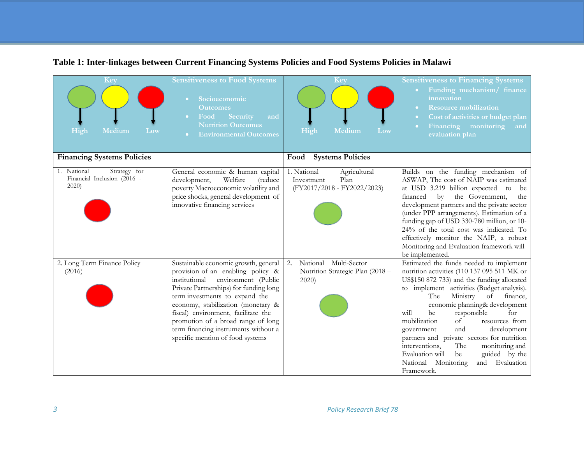| Key<br>High<br>Medium<br>Low                                           | <b>Sensitiveness to Food Systems</b><br>Socioeconomic<br>$\bullet$ .<br><b>Outcomes</b><br>Food<br>Security<br>$\bullet$ .<br>and<br><b>Nutrition Outcomes</b><br><b>Environmental Outcomes</b><br>$\bullet$ .                                                                                                                                                                               | Key<br>High<br>Medium<br>Low                                                     | <b>Sensitiveness to Financing Systems</b><br>Funding mechanism/ finance<br>$\bullet$ .<br>innovation<br><b>Resource mobilization</b><br>Cost of activities or budget plan<br>$\bullet$ .<br>Financing monitoring<br>and<br>$\bullet$ .<br>evaluation plan                                                                                                                                                                                                                                                                                                              |
|------------------------------------------------------------------------|----------------------------------------------------------------------------------------------------------------------------------------------------------------------------------------------------------------------------------------------------------------------------------------------------------------------------------------------------------------------------------------------|----------------------------------------------------------------------------------|------------------------------------------------------------------------------------------------------------------------------------------------------------------------------------------------------------------------------------------------------------------------------------------------------------------------------------------------------------------------------------------------------------------------------------------------------------------------------------------------------------------------------------------------------------------------|
| <b>Financing Systems Policies</b>                                      |                                                                                                                                                                                                                                                                                                                                                                                              | <b>Systems Policies</b><br>Food                                                  |                                                                                                                                                                                                                                                                                                                                                                                                                                                                                                                                                                        |
| 1. National<br>Strategy for<br>Financial Inclusion (2016 -<br>$2020$ ) | General economic & human capital<br>Welfare<br>(reduce<br>development,<br>poverty Macroeconomic volatility and<br>price shocks, general development of<br>innovative financing services                                                                                                                                                                                                      | 1. National<br>Agricultural<br>Investment<br>Plan<br>(FY2017/2018 - FY2022/2023) | Builds on the funding mechanism of<br>ASWAP, The cost of NAIP was estimated<br>at USD 3.219 billion expected to<br>be<br>financed<br>$\mathbf{b}$<br>the Government,<br>the<br>development partners and the private sector<br>(under PPP arrangements). Estimation of a<br>funding gap of USD 330-780 million, or 10-<br>24% of the total cost was indicated. To<br>effectively monitor the NAIP, a robust<br>Monitoring and Evaluation framework will<br>be implemented.                                                                                              |
| 2. Long Term Finance Policy<br>(2016)                                  | Sustainable economic growth, general<br>provision of an enabling policy &<br>institutional<br>environment (Public<br>Private Partnerships) for funding long<br>term investments to expand the<br>economy, stabilization (monetary &<br>fiscal) environment, facilitate the<br>promotion of a broad range of long<br>term financing instruments without a<br>specific mention of food systems | National Multi-Sector<br>2.<br>Nutrition Strategic Plan (2018 -<br>2020)         | Estimated the funds needed to implement<br>nutrition activities (110 137 095 511 MK or<br>US\$150 872 733) and the funding allocated<br>to implement activities (Budget analysis).<br>Ministry of<br>The<br>finance,<br>economic planning& development<br>responsible<br>be<br>will<br>for<br>mobilization<br>resources from<br>of<br>development<br>government<br>and<br>partners and private sectors for nutrition<br>The<br>interventions,<br>monitoring and<br>Evaluation will<br>guided by the<br>be<br>Evaluation<br>National<br>Monitoring<br>and<br>Framework. |

# **Table 1: Inter-linkages between Current Financing Systems Policies and Food Systems Policies in Malawi**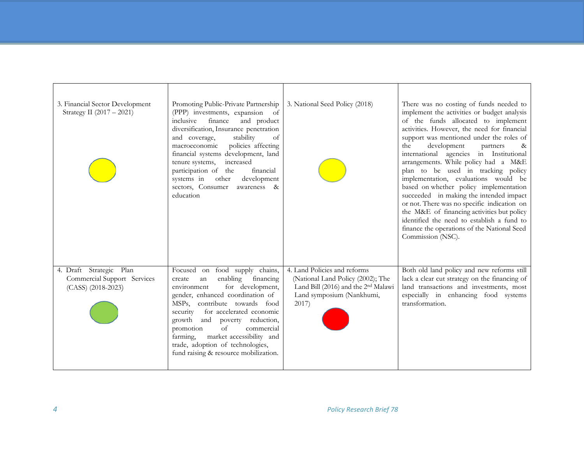| 3. Financial Sector Development<br>Strategy II (2017 - 2021)                 | Promoting Public-Private Partnership<br>(PPP) investments, expansion of<br>inclusive<br>finance<br>and product<br>diversification, Insurance penetration<br>stability<br>and coverage,<br>of<br>policies affecting<br>macroeconomic<br>financial systems development, land<br>tenure systems,<br>increased<br>participation of the<br>financial<br>systems in other<br>development<br>sectors, Consumer<br>awareness &<br>education | 3. National Seed Policy (2018)                                                                                                                             | There was no costing of funds needed to<br>implement the activities or budget analysis<br>of the funds allocated to implement<br>activities. However, the need for financial<br>support was mentioned under the roles of<br>development<br>the<br>partners<br>&<br>international agencies in Institutional<br>arrangements. While policy had a M&E<br>plan to be used in tracking policy<br>implementation, evaluations would be<br>based on whether policy implementation<br>succeeded in making the intended impact<br>or not. There was no specific indication on<br>the M&E of financing activities but policy<br>identified the need to establish a fund to<br>finance the operations of the National Seed<br>Commission (NSC). |
|------------------------------------------------------------------------------|-------------------------------------------------------------------------------------------------------------------------------------------------------------------------------------------------------------------------------------------------------------------------------------------------------------------------------------------------------------------------------------------------------------------------------------|------------------------------------------------------------------------------------------------------------------------------------------------------------|--------------------------------------------------------------------------------------------------------------------------------------------------------------------------------------------------------------------------------------------------------------------------------------------------------------------------------------------------------------------------------------------------------------------------------------------------------------------------------------------------------------------------------------------------------------------------------------------------------------------------------------------------------------------------------------------------------------------------------------|
| 4. Draft Strategic Plan<br>Commercial Support Services<br>(CASS) (2018-2023) | Focused on food supply chains,<br>enabling<br>financing<br>create<br>an<br>for development,<br>environment<br>gender, enhanced coordination of<br>MSPs, contribute towards food<br>for accelerated economic<br>security<br>poverty reduction,<br>growth<br>and<br>commercial<br>of<br>promotion<br>market accessibility and<br>farming,<br>trade, adoption of technologies,<br>fund raising & resource mobilization.                | 4. Land Policies and reforms<br>(National Land Policy (2002); The<br>Land Bill (2016) and the 2 <sup>nd</sup> Malawi<br>Land symposium (Nankhumi,<br>2017) | Both old land policy and new reforms still<br>lack a clear cut strategy on the financing of<br>land transactions and investments, most<br>especially in enhancing food systems<br>transformation.                                                                                                                                                                                                                                                                                                                                                                                                                                                                                                                                    |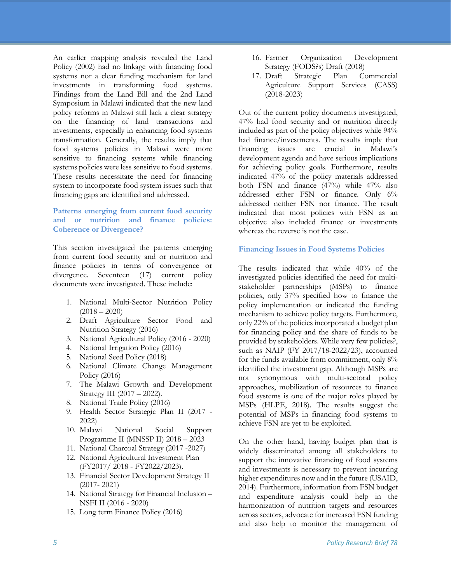An earlier mapping analysis revealed the Land Policy (2002) had no linkage with financing food systems nor a clear funding mechanism for land investments in transforming food systems. Findings from the Land Bill and the 2nd Land Symposium in Malawi indicated that the new land policy reforms in Malawi still lack a clear strategy on the financing of land transactions and investments, especially in enhancing food systems transformation. Generally, the results imply that food systems policies in Malawi were more sensitive to financing systems while financing systems policies were less sensitive to food systems. These results necessitate the need for financing system to incorporate food system issues such that financing gaps are identified and addressed.

#### **Patterns emerging from current food security and or nutrition and finance policies: Coherence or Divergence?**

This section investigated the patterns emerging from current food security and or nutrition and finance policies in terms of convergence or divergence. Seventeen (17) current policy documents were investigated. These include:

- 1. National Multi-Sector Nutrition Policy  $(2018 - 2020)$
- 2. Draft Agriculture Sector Food and Nutrition Strategy (2016)
- 3. National Agricultural Policy (2016 2020)
- 4. National Irrigation Policy (2016)
- 5. National Seed Policy (2018)
- 6. National Climate Change Management Policy (2016)
- 7. The Malawi Growth and Development Strategy III (2017 – 2022).
- 8. National Trade Policy (2016)
- 9. Health Sector Strategic Plan II (2017 2022)
- 10. Malawi National Social Support Programme II (MNSSP II) 2018 – 2023
- 11. National Charcoal Strategy (2017 -2027)
- 12. National Agricultural Investment Plan (FY2017/ 2018 - FY2022/2023).
- 13. Financial Sector Development Strategy II (2017- 2021)
- 14. National Strategy for Financial Inclusion NSFI II (2016 - 2020)
- 15. Long term Finance Policy (2016)
- 16. Farmer Organization Development Strategy (FODS?s) Draft (2018)
- 17. Draft Strategic Plan Commercial Agriculture Support Services (CASS) (2018-2023)

Out of the current policy documents investigated, 47% had food security and or nutrition directly included as part of the policy objectives while 94% had finance/investments. The results imply that financing issues are crucial in Malawi's development agenda and have serious implications for achieving policy goals. Furthermore, results indicated 47% of the policy materials addressed both FSN and finance (47%) while 47% also addressed either FSN or finance. Only 6% addressed neither FSN nor finance. The result indicated that most policies with FSN as an objective also included finance or investments whereas the reverse is not the case.

#### **Financing Issues in Food Systems Policies**

The results indicated that while 40% of the investigated policies identified the need for multistakeholder partnerships (MSPs) to finance policies, only 37% specified how to finance the policy implementation or indicated the funding mechanism to achieve policy targets. Furthermore, only 22% of the policies incorporated a budget plan for financing policy and the share of funds to be provided by stakeholders. While very few policies?, such as NAIP (FY 2017/18-2022/23), accounted for the funds available from commitment, only 8% identified the investment gap. Although MSPs are not synonymous with multi-sectoral policy approaches, mobilization of resources to finance food systems is one of the major roles played by MSPs (HLPE, 2018). The results suggest the potential of MSPs in financing food systems to achieve FSN are yet to be exploited.

On the other hand, having budget plan that is widely disseminated among all stakeholders to support the innovative financing of food systems and investments is necessary to prevent incurring higher expenditures now and in the future (USAID, 2014). Furthermore, information from FSN budget and expenditure analysis could help in the harmonization of nutrition targets and resources across sectors, advocate for increased FSN funding and also help to monitor the management of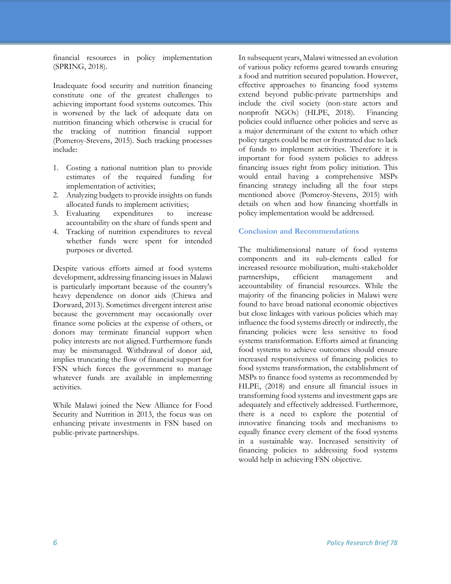financial resources in policy implementation (SPRING, 2018).

Inadequate food security and nutrition financing constitute one of the greatest challenges to achieving important food systems outcomes. This is worsened by the lack of adequate data on nutrition financing which otherwise is crucial for the tracking of nutrition financial support (Pomeroy-Stevens, 2015). Such tracking processes include:

- 1. Costing a national nutrition plan to provide estimates of the required funding for implementation of activities;
- 2. Analyzing budgets to provide insights on funds
- allocated funds to implement activities;<br>Evaluating expenditures to in 3. Evaluating expenditures to increase accountability on the share of funds spent and
- 4. Tracking of nutrition expenditures to reveal whether funds were spent for intended purposes or diverted.

Despite various efforts aimed at food systems development, addressing financing issues in Malawi is particularly important because of the country's heavy dependence on donor aids (Chirwa and Dorward, 2013). Sometimes divergent interest arise because the government may occasionally over finance some policies at the expense of others, or donors may terminate financial support when policy interests are not aligned. Furthermore funds may be mismanaged. Withdrawal of donor aid, implies truncating the flow of financial support for FSN which forces the government to manage whatever funds are available in implementing activities.

While Malawi joined the New Alliance for Food Security and Nutrition in 2013, the focus was on enhancing private investments in FSN based on public-private partnerships.

In subsequent years, Malawi witnessed an evolution of various policy reforms geared towards ensuring a food and nutrition secured population. However, effective approaches to financing food systems extend beyond public-private partnerships and include the civil society (non-state actors and nonprofit NGOs) (HLPE, 2018). Financing policies could influence other policies and serve as a major determinant of the extent to which other policy targets could be met or frustrated due to lack of funds to implement activities. Therefore it is important for food system policies to address financing issues right from policy initiation. This would entail having a comprehensive MSPs financing strategy including all the four steps mentioned above (Pomeroy-Stevens, 2015) with details on when and how financing shortfalls in policy implementation would be addressed.

#### **Conclusion and Recommendations**

The multidimensional nature of food systems components and its sub-elements called for increased resource mobilization, multi-stakeholder partnerships, efficient management and accountability of financial resources. While the majority of the financing policies in Malawi were found to have broad national economic objectives but close linkages with various policies which may influence the food systems directly or indirectly, the financing policies were less sensitive to food systems transformation. Efforts aimed at financing food systems to achieve outcomes should ensure increased responsiveness of financing policies to food systems transformation, the establishment of MSPs to finance food systems as recommended by HLPE, (2018) and ensure all financial issues in transforming food systems and investment gaps are adequately and effectively addressed. Furthermore, there is a need to explore the potential of innovative financing tools and mechanisms to equally finance every element of the food systems in a sustainable way. Increased sensitivity of financing policies to addressing food systems would help in achieving FSN objective.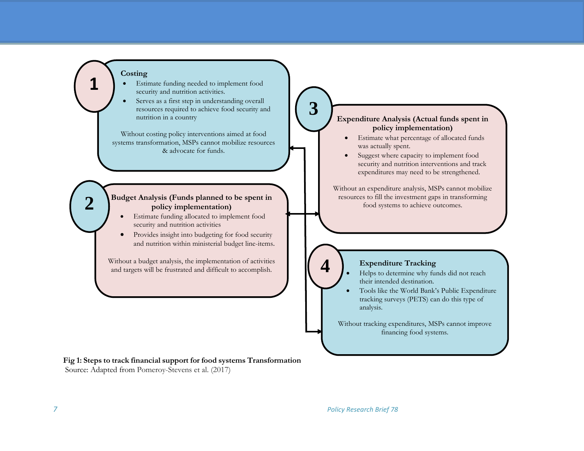#### **Costing**

**1**

**2**



Serves as a first step in understanding overall resources required to achieve food security and nutrition in a country

Without costing policy interventions aimed at food systems transformation, MSPs cannot mobilize resources & advocate for funds.

#### **Budget Analysis (Funds planned to be spent in policy implementation)**

- Estimate funding allocated to implement food security and nutrition activities
- Provides insight into budgeting for food security and nutrition within ministerial budget line-items.

Without a budget analysis, the implementation of activities and targets will be frustrated and difficult to accomplish.

#### **Fig 1: Steps to track financial support for food systems Transformation** Source: Adapted from Pomeroy-Stevens et al. (2017)

### **Expenditure Analysis (Actual funds spent in policy implementation)**

**3**

**4**

- Estimate what percentage of allocated funds was actually spent.
- Suggest where capacity to implement food security and nutrition interventions and track expenditures may need to be strengthened.

Without an expenditure analysis, MSPs cannot mobilize resources to fill the investment gaps in transforming food systems to achieve outcomes.

# **Expenditure Tracking**

- Helps to determine why funds did not reach their intended destination.
- Tools like the World Bank's Public Expenditure tracking surveys (PETS) can do this type of analysis.

Without tracking expenditures, MSPs cannot improve financing food systems.